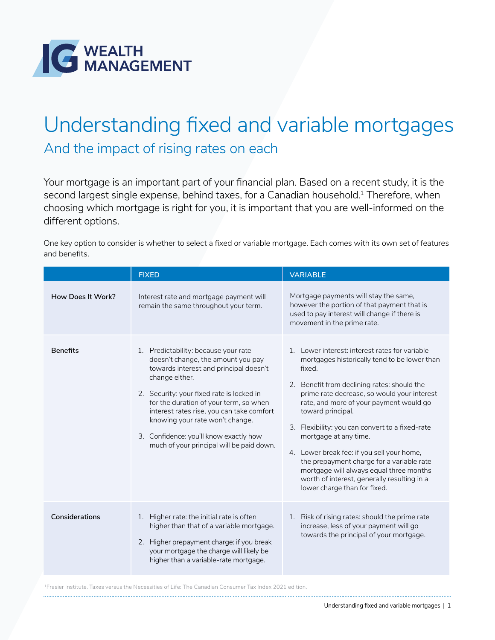

## Understanding fixed and variable mortgages

And the impact of rising rates on each

Your mortgage is an important part of your financial plan. Based on a recent study, it is the second largest single expense, behind taxes, for a Canadian household.<sup>1</sup> Therefore, when choosing which mortgage is right for you, it is important that you are well-informed on the different options.

One key option to consider is whether to select a fixed or variable mortgage. Each comes with its own set of features and benefits.

|                   | <b>FIXED</b>                                                                                                                                                                                                                                                                                                                                                                                         | <b>VARIABLE</b>                                                                                                                                                                                                                                                                                                                                                                                                                                                                                                                                                         |
|-------------------|------------------------------------------------------------------------------------------------------------------------------------------------------------------------------------------------------------------------------------------------------------------------------------------------------------------------------------------------------------------------------------------------------|-------------------------------------------------------------------------------------------------------------------------------------------------------------------------------------------------------------------------------------------------------------------------------------------------------------------------------------------------------------------------------------------------------------------------------------------------------------------------------------------------------------------------------------------------------------------------|
| How Does It Work? | Interest rate and mortgage payment will<br>remain the same throughout your term.                                                                                                                                                                                                                                                                                                                     | Mortgage payments will stay the same,<br>however the portion of that payment that is<br>used to pay interest will change if there is<br>movement in the prime rate.                                                                                                                                                                                                                                                                                                                                                                                                     |
| <b>Benefits</b>   | 1. Predictability: because your rate<br>doesn't change, the amount you pay<br>towards interest and principal doesn't<br>change either.<br>2. Security: your fixed rate is locked in<br>for the duration of your term, so when<br>interest rates rise, you can take comfort<br>knowing your rate won't change.<br>3. Confidence: you'll know exactly how<br>much of your principal will be paid down. | 1. Lower interest: interest rates for variable<br>mortgages historically tend to be lower than<br>fixed.<br>2. Benefit from declining rates: should the<br>prime rate decrease, so would your interest<br>rate, and more of your payment would go<br>toward principal.<br>3. Flexibility: you can convert to a fixed-rate<br>mortgage at any time.<br>4. Lower break fee: if you sell your home,<br>the prepayment charge for a variable rate<br>mortgage will always equal three months<br>worth of interest, generally resulting in a<br>lower charge than for fixed. |
| Considerations    | 1. Higher rate: the initial rate is often<br>higher than that of a variable mortgage.<br>2. Higher prepayment charge: if you break<br>your mortgage the charge will likely be<br>higher than a variable-rate mortgage.                                                                                                                                                                               | 1. Risk of rising rates: should the prime rate<br>increase, less of your payment will go<br>towards the principal of your mortgage.                                                                                                                                                                                                                                                                                                                                                                                                                                     |

1Frasier Institute. Taxes versus the Necessities of Life: The Canadian Consumer Tax Index 2021 edition.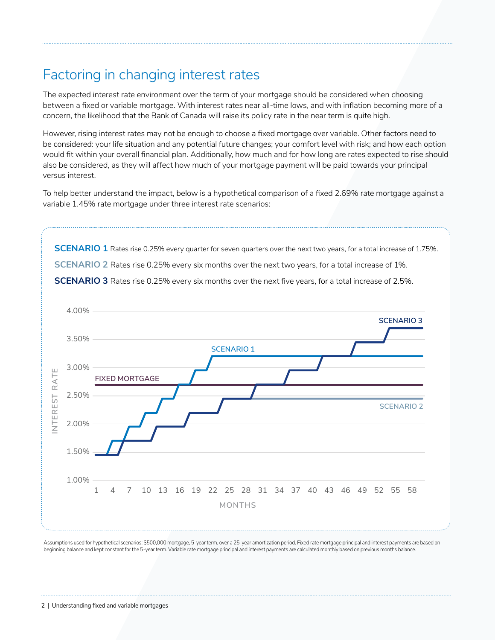## Factoring in changing interest rates

The expected interest rate environment over the term of your mortgage should be considered when choosing between a fixed or variable mortgage. With interest rates near all-time lows, and with inflation becoming more of a concern, the likelihood that the Bank of Canada will raise its policy rate in the near term is quite high.

However, rising interest rates may not be enough to choose a fixed mortgage over variable. Other factors need to be considered: your life situation and any potential future changes; your comfort level with risk; and how each option would fit within your overall financial plan. Additionally, how much and for how long are rates expected to rise should also be considered, as they will affect how much of your mortgage payment will be paid towards your principal versus interest.

To help better understand the impact, below is a hypothetical comparison of a fixed 2.69% rate mortgage against a variable 1.45% rate mortgage under three interest rate scenarios:



Assumptions used for hypothetical scenarios: \$500,000 mortgage, 5-year term, over a 25-year amortization period. Fixed rate mortgage principal and interest payments are based on beginning balance and kept constant for the 5-year term. Variable rate mortgage principal and interest payments are calculated monthly based on previous months balance.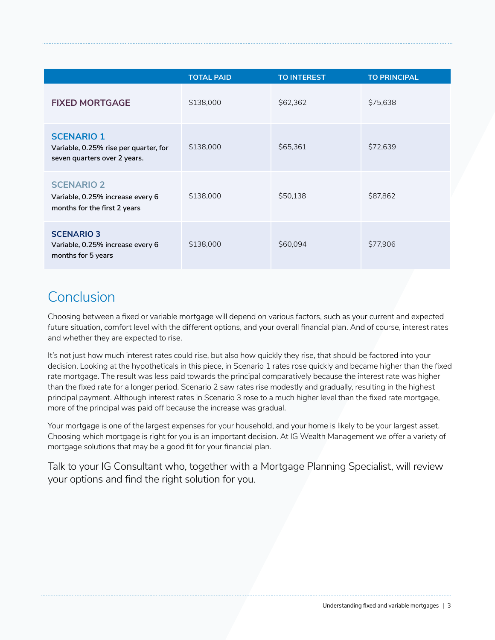|                                                                                            | <b>TOTAL PAID</b> | <b>TO INTEREST</b> | <b>TO PRINCIPAL</b> |
|--------------------------------------------------------------------------------------------|-------------------|--------------------|---------------------|
| <b>FIXED MORTGAGE</b>                                                                      | \$138,000         | \$62,362           | \$75,638            |
| <b>SCENARIO 1</b><br>Variable, 0.25% rise per quarter, for<br>seven quarters over 2 years. | \$138,000         | \$65,361           | \$72,639            |
| <b>SCENARIO 2</b><br>Variable, 0.25% increase every 6<br>months for the first 2 years      | \$138,000         | \$50,138           | \$87,862            |
| <b>SCENARIO 3</b><br>Variable, 0.25% increase every 6<br>months for 5 years                | \$138,000         | \$60,094           | \$77,906            |

## **Conclusion**

Choosing between a fixed or variable mortgage will depend on various factors, such as your current and expected future situation, comfort level with the different options, and your overall financial plan. And of course, interest rates and whether they are expected to rise.

It's not just how much interest rates could rise, but also how quickly they rise, that should be factored into your decision. Looking at the hypotheticals in this piece, in Scenario 1 rates rose quickly and became higher than the fixed rate mortgage. The result was less paid towards the principal comparatively because the interest rate was higher than the fixed rate for a longer period. Scenario 2 saw rates rise modestly and gradually, resulting in the highest principal payment. Although interest rates in Scenario 3 rose to a much higher level than the fixed rate mortgage, more of the principal was paid off because the increase was gradual.

Your mortgage is one of the largest expenses for your household, and your home is likely to be your largest asset. Choosing which mortgage is right for you is an important decision. At IG Wealth Management we offer a variety of mortgage solutions that may be a good fit for your financial plan.

Talk to your IG Consultant who, together with a Mortgage Planning Specialist, will review your options and find the right solution for you.